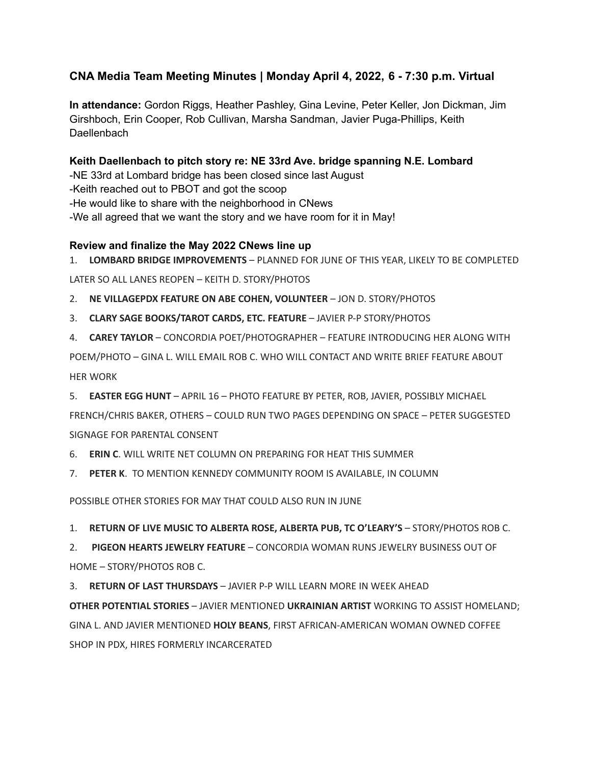# **CNA Media Team Meeting Minutes | Monday April 4, 2022, 6 - 7:30 p.m. Virtual**

**In attendance:** Gordon Riggs, Heather Pashley, Gina Levine, Peter Keller, Jon Dickman, Jim Girshboch, Erin Cooper, Rob Cullivan, Marsha Sandman, Javier Puga-Phillips, Keith **Daellenbach** 

**Keith Daellenbach to pitch story re: NE 33rd Ave. bridge spanning N.E. Lombard** -NE 33rd at Lombard bridge has been closed since last August -Keith reached out to PBOT and got the scoop -He would like to share with the neighborhood in CNews -We all agreed that we want the story and we have room for it in May!

#### **Review and finalize the May 2022 CNews line up**

1. **LOMBARD BRIDGE IMPROVEMENTS** – PLANNED FOR JUNE OF THIS YEAR, LIKELY TO BE COMPLETED

LATER SO ALL LANES REOPEN – KEITH D. STORY/PHOTOS

- 2. **NE VILLAGEPDX FEATURE ON ABE COHEN, VOLUNTEER** JON D. STORY/PHOTOS
- 3. **CLARY SAGE BOOKS/TAROT CARDS, ETC. FEATURE** JAVIER P-P STORY/PHOTOS

4. **CAREY TAYLOR** – CONCORDIA POET/PHOTOGRAPHER – FEATURE INTRODUCING HER ALONG WITH POEM/PHOTO – GINA L. WILL EMAIL ROB C. WHO WILL CONTACT AND WRITE BRIEF FEATURE ABOUT HER WORK

5. **EASTER EGG HUNT** – APRIL 16 – PHOTO FEATURE BY PETER, ROB, JAVIER, POSSIBLY MICHAEL

FRENCH/CHRIS BAKER, OTHERS – COULD RUN TWO PAGES DEPENDING ON SPACE – PETER SUGGESTED SIGNAGE FOR PARENTAL CONSENT

6. **ERIN C**. WILL WRITE NET COLUMN ON PREPARING FOR HEAT THIS SUMMER

7. **PETER K**. TO MENTION KENNEDY COMMUNITY ROOM IS AVAILABLE, IN COLUMN

POSSIBLE OTHER STORIES FOR MAY THAT COULD ALSO RUN IN JUNE

1. **RETURN OF LIVE MUSIC TO ALBERTA ROSE, ALBERTA PUB, TC O'LEARY'S** – STORY/PHOTOS ROB C.

2. **PIGEON HEARTS JEWELRY FEATURE** – CONCORDIA WOMAN RUNS JEWELRY BUSINESS OUT OF HOME – STORY/PHOTOS ROB C.

3. **RETURN OF LAST THURSDAYS** – JAVIER P-P WILL LEARN MORE IN WEEK AHEAD

**OTHER POTENTIAL STORIES** – JAVIER MENTIONED **UKRAINIAN ARTIST** WORKING TO ASSIST HOMELAND; GINA L. AND JAVIER MENTIONED **HOLY BEANS**, FIRST AFRICAN-AMERICAN WOMAN OWNED COFFEE SHOP IN PDX, HIRES FORMERLY INCARCERATED